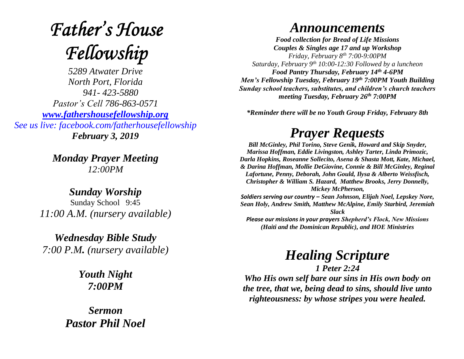# **Father's House** Fellowship

*5289 Atwater Drive North Port, Florida 941- 423-5880 Pastor's Cell 786-863-0571 [www.fathershousefellowship.org](http://www.fathershousefellowship.org/) See us live: facebook.com/fatherhousefellowship February 3, 2019*

> *Monday Prayer Meeting 12:00PM*

*Sunday Worship* Sunday School 9:45 *11:00 A.M. (nursery available)*

*Wednesday Bible Study 7:00 P.M. (nursery available)*

> *Youth Night 7:00PM*

*Sermon Pastor Phil Noel* 

#### *Announcements*

*Food collection for Bread of Life Missions Couples & Singles age 17 and up Workshop Friday, February 8th 7:00-9:00PM Saturday, February 9th 10:00-12:30 Followed by a luncheon Food Pantry Thursday, February 14th 4-6PM Men's Fellowship Tuesday, February 19th 7:00PM Youth Building Sunday school teachers, substitutes, and children's church teachers meeting Tuesday, February 26th 7:00PM*

*\*Reminder there will be no Youth Group Friday, February 8th*

### *Prayer Requests*

*Bill McGinley, Phil Torino, Steve Genik, Howard and Skip Snyder, Marissa Hoffman, Eddie Livingston, Ashley Tarter, Linda Primozic, Darla Hopkins, Roseanne Sollecito, Asena & Shasta Mott, Kate, Michael, & Darina Hoffman, Mollie DeGiovine, Connie & Bill McGinley, Reginal Lafortune, Penny, Deborah, John Gould, Ilysa & Alberto Weissfisch, Christopher & William S. Hazard, Matthew Brooks, Jerry Donnelly, Mickey McPherson, Soldiers serving our country – Sean Johnson, Elijah Noel, Lepskey Nore,* 

*Sean Holy, Andrew Smith, Matthew McAlpine, Emily Starbird, Jeremiah Slack Please our missions in your prayers Shepherd's Flock, New Missions* 

*(Haiti and the Dominican Republic), and HOE Ministries*

## *Healing Scripture*

*1 Peter 2:24 Who His own self bare our sins in His own body on the tree, that we, being dead to sins, should live unto righteousness: by whose stripes you were healed.*